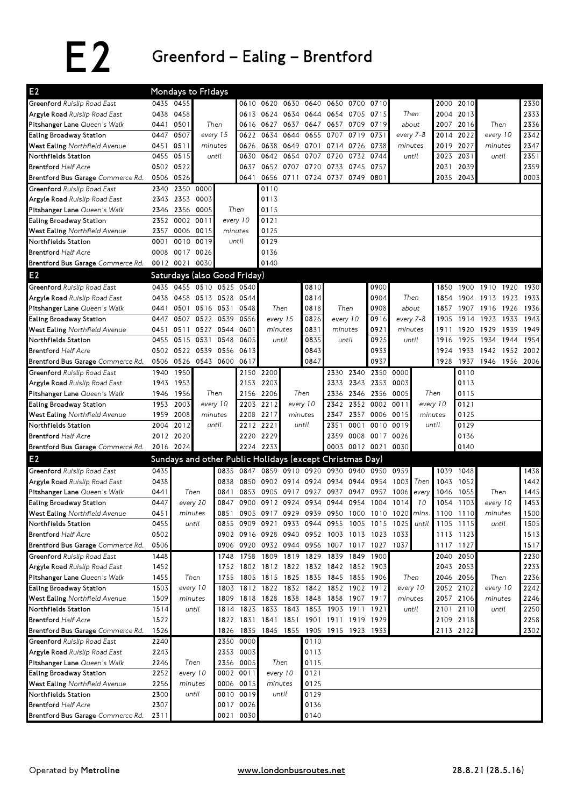## E2 Greenford–Ealing–Brentford

| E <sub>2</sub>                                    | Mondays to Fridays |                |                                  |                              |           |           |                                                                          |                                |           |           |                     |              |                      |           |           |                     |              |
|---------------------------------------------------|--------------------|----------------|----------------------------------|------------------------------|-----------|-----------|--------------------------------------------------------------------------|--------------------------------|-----------|-----------|---------------------|--------------|----------------------|-----------|-----------|---------------------|--------------|
| Greenford Ruislip Road East                       |                    | 0435 0455      |                                  |                              | 0610      | 0620      | 0630                                                                     | 0640                           | 0650      |           | 0700 0710           |              |                      | 2000      | 2010      |                     | 2330         |
| Argyle Road Ruislip Road East                     | 0438               | 0458           |                                  |                              |           | 0613 0624 | 0634                                                                     |                                | 0644 0654 | 0705      | 0715                |              | Then                 |           | 2004 2013 |                     | 2333         |
| Pitshanger Lane Queen's Walk                      | 0441               | 0501           | Then                             |                              |           | 0616 0627 | 0637                                                                     |                                | 0647 0657 | 0709      | 0719                |              | about                | 2007      | 2016      | Then                | 2336         |
| Ealing Broadway Station                           | 0447               | 0507           |                                  | every 15                     | 0622      | 0634      | 0644                                                                     | 0655                           | 0707      | 0719      | 0731                |              | every 7-8            | 2014      | 2022      | every 10            | 2342         |
| West Ealing Northfield Avenue                     |                    | 0451 0511      |                                  | minutes                      |           | 0626 0638 | 0649                                                                     | 0701 0714 0726 0738            |           |           |                     |              | minutes              | 2019      | 2027      | minutes             | 2347         |
| Northfields Station                               | 0455               | 0515           |                                  | until                        | 0630      | 0642      | 0654                                                                     | 0707                           | 0720      |           | 0732 0744           |              | until                | 2023 2031 |           | until               | 2351         |
| <b>Brentford Half Acre</b>                        | 0502               | 0522           |                                  |                              | 0637      | 0652      | 0707                                                                     | 0720                           | 0733      | 0745      | 0757                |              |                      | 2031      | 2039      |                     | 2359         |
| Brentford Bus Garage Commerce Rd.                 | 0506               | 0526           |                                  |                              | 0641      |           | 0656 0711                                                                | 0724 0737                      |           | 0749 0801 |                     |              |                      | 2035      | 2043      |                     | 0003         |
| Greenford Ruislip Road East                       | 2340               |                | 2350 0000                        |                              |           | 0110      |                                                                          |                                |           |           |                     |              |                      |           |           |                     |              |
| Argyle Road Ruislip Road East                     | 2343               | 2353           | 0003                             |                              |           | 0113      |                                                                          |                                |           |           |                     |              |                      |           |           |                     |              |
| Pitshanger Lane Queen's Walk                      | 2346               | 2356           | 0005                             |                              | Then      | 0115      |                                                                          |                                |           |           |                     |              |                      |           |           |                     |              |
| Ealing Broadway Station                           |                    | 2352 0002      | 0011                             |                              | every 10  | 0121      |                                                                          |                                |           |           |                     |              |                      |           |           |                     |              |
| West Ealing Northfield Avenue                     | 2357               | 0006           | 0015                             |                              | minutes   | 0125      |                                                                          |                                |           |           |                     |              |                      |           |           |                     |              |
| Northfields Station                               | 0001               |                | 0010 0019                        |                              | until     | 0129      |                                                                          |                                |           |           |                     |              |                      |           |           |                     |              |
| <b>Brentford Half Acre</b>                        | 0008               | 0017 0026      |                                  |                              |           | 0136      |                                                                          |                                |           |           |                     |              |                      |           |           |                     |              |
| Brentford Bus Garage Commerce Rd.                 |                    | 0012 0021 0030 |                                  |                              |           | 0140      |                                                                          |                                |           |           |                     |              |                      |           |           |                     |              |
| E <sub>2</sub>                                    |                    |                |                                  | Saturdays (also Good Friday) |           |           |                                                                          |                                |           |           |                     |              |                      |           |           |                     |              |
| Greenford Ruislip Road East                       | 0435               |                |                                  | 0455 0510 0525 0540          |           |           |                                                                          | 0810                           |           |           | 0900                |              |                      | 1850      | 1900      | 1910<br>1920        | 1930         |
| Argyle Road Ruislip Road East                     | 0438               |                | 0458 0513 0528                   |                              | 0544      |           |                                                                          | 0814                           |           |           | 0904                |              | Then                 | 1854      | 1904      | 1913 1923           | 1933         |
| Pitshanger Lane Queen's Walk                      | 0441               | 0501           |                                  | 0516 0531                    |           |           | Then                                                                     | 0818                           | Then      |           | 0908                |              | about                | 1857      | 1907      | 1916 1926           | 1936         |
| Ealing Broadway Station                           | 0447               | 0507           |                                  | 0522<br>0539                 |           |           | every 15                                                                 | 0826                           | every 10  |           | 0916                | every 7-8    |                      | 1905      | 1914      | 1923<br>1933        | 1943         |
| West Ealing Northfield Avenue                     | 0451               | 0511           |                                  | 0527 0544 0601               |           | minutes   |                                                                          | 0831                           | minutes   |           | 0921                | minutes      |                      | 1911      | 1920      | 1929<br>1939        | 1949         |
| Northfields Station                               | 0455               | 0515           | 0531                             | 0548                         | 0605      | until     |                                                                          | 0835                           | until     |           | 0925                | until        |                      | 1916      | 1925      | 1934<br>1944        | 1954         |
| <b>Brentford Half Acre</b>                        |                    |                | 0502 0522 0539 0556              |                              | 0613      |           |                                                                          | 0843                           |           |           | 0933                |              |                      | 1924      | 1933      | 1942<br>1952        | 2002         |
| Brentford Bus Garage Commerce Rd.                 |                    |                | 0506 0526 0543 0600              |                              | 0617      |           |                                                                          | 0847                           |           |           | 0937                |              |                      | 1928      | 1937      | 1946<br>1956 2006   |              |
| Greenford Ruislip Road East                       | 1940               | 1950           |                                  |                              |           | 2150 2200 |                                                                          |                                | 2330      |           | 2340 2350 0000      |              |                      |           | 0110      |                     |              |
| Argyle Road Ruislip Road East                     | 1943               | 1953           |                                  |                              | 2153      | 2203      |                                                                          |                                | 2333      |           | 2343 2353           | 0003         |                      |           | 0113      |                     |              |
| Pitshanger Lane Queen's Walk                      | 1946               | 1956           | Then                             |                              |           | 2156 2206 | Then                                                                     |                                | 2336      |           | 2346 2356           | Then<br>0005 |                      |           | 0115      |                     |              |
| Ealing Broadway Station                           | 1953               | 2003           | every 10                         |                              |           | 2203 2212 |                                                                          | every 10                       | 2342      |           | 2352 0002 0011      | every 10     |                      |           | 0121      |                     |              |
| West Ealing Northfield Avenue                     | 1959               | 2008           |                                  | minutes                      | 2208      | 2217      |                                                                          | minutes                        | 2347      | 2357      | 0006 0015           |              | minutes              |           | 0125      |                     |              |
| Northfields Station                               | 2004               | 2012           |                                  | until                        | 2212      | 2221      |                                                                          | until                          | 2351      | 0001      | 0010                | 0019         | until                |           | 0129      |                     |              |
| <b>Brentford Half Acre</b>                        |                    | 2012 2020      |                                  |                              |           | 2220 2229 |                                                                          |                                | 2359      |           | 0008 0017 0026      |              |                      |           | 0136      |                     |              |
| Brentford Bus Garage Commerce Rd.                 |                    | 2016 2024      |                                  |                              |           | 2224 2233 |                                                                          |                                |           |           | 0003 0012 0021 0030 |              |                      |           | 0140      |                     |              |
| E <sub>2</sub>                                    |                    |                |                                  |                              |           |           | Sundays and other Public Holidays (except Christmas Day)                 |                                |           |           |                     |              |                      |           |           |                     |              |
| Greenford Ruislip Road East                       | 0435               |                |                                  | 0835                         | 0847      | 0859      |                                                                          | 0910 0920 0930                 |           |           | 0940 0950 0959      |              |                      |           | 1039 1048 |                     | 1438         |
| Argyle Road Ruislip Road East                     | 0438               |                |                                  | 0838                         |           |           | 0850 0902 0914 0924 0934                                                 |                                |           |           | 0944 0954           | 1003         | Then                 | 1043      | 1052      |                     | 1442         |
| Pitshanger Lane Queen's Walk                      | 0441               |                | Then<br>0841<br>every 20<br>0847 |                              | 0853      | 0905      | 0917                                                                     | 0927                           | 0937      | 0947      | 0957                | 1006         | every                | 1046      | 1055      | Then                | 1445         |
| Ealing Broadway Station                           | 0447               |                |                                  |                              |           |           | 0900 0912 0924                                                           |                                | 0934 0944 | 0954      | 1004                | 1014         | 10                   | 1054      | 1103      | every 10            | 1453         |
| West Ealing Northfield Avenue                     | 0451               |                | 0851<br>minutes                  |                              |           | 0905 0917 | 0929                                                                     | 0939                           | 0950      |           |                     |              | 1000 1010 1020 mins. | 1100 1110 |           | minutes             | 1500         |
| Northfields Station                               | 0455               |                | until<br>0855                    |                              | 0909 0921 |           | 0933                                                                     | 0944 0955 1005 1015 1025 until |           |           |                     |              |                      |           | 1105 1115 | until               | 1505         |
| <b>Brentford Half Acre</b>                        | 0502               |                |                                  |                              |           |           | 0902 0916 0928 0940                                                      |                                | 0952 1003 |           | 1013 1023 1033      |              |                      | 1113 1123 |           |                     | 1513         |
| Brentford Bus Garage Commerce Rd.                 | 0506               |                |                                  |                              |           |           | 0906 0920 0932 0944 0956 1007                                            |                                |           |           | 1017 1027 1037      |              |                      | 1117 1127 |           |                     | 1517         |
| Greenford Ruislip Road East                       | 1448               |                |                                  | 1748                         |           |           | 1758 1809 1819 1829 1839                                                 |                                |           |           | 1849 1900           |              |                      |           | 2040 2050 |                     | 2230         |
| Argyle Road Ruislip Road East                     | 1452               |                |                                  | 1755                         |           |           | 1752 1802 1812 1822 1832 1842 1852 1903                                  |                                |           |           |                     |              |                      |           | 2043 2053 |                     | 2233         |
| Pitshanger Lane Queen's Walk                      | 1455               |                | Then<br>every 10                 |                              |           |           | 1805 1815 1825 1835 1845 1855 1906                                       |                                |           |           |                     |              | Then                 |           | 2046 2056 | Then                | 2236         |
| Ealing Broadway Station                           | 1503<br>1509       |                | 1803<br>minutes                  |                              |           |           | 1812 1822 1832 1842 1852 1902 1912<br>1818 1828 1838 1848 1858 1907 1917 |                                |           |           |                     |              | every 10<br>minutes  | 2052 2102 | 2057 2106 | every 10<br>minutes | 2242<br>2246 |
| West Ealing Northfield Avenue                     | 1514               |                | 1809<br>until                    |                              |           |           | 1823 1833 1843 1853 1903 1911 1921                                       |                                |           |           |                     |              | until                |           | 2101 2110 | until               | 2250         |
| Northfields Station<br><b>Brentford Half Acre</b> | 1522               |                |                                  | 1814                         |           |           | 1822 1831 1841 1851 1901 1911 1919 1929                                  |                                |           |           |                     |              |                      |           | 2109 2118 |                     | 2258         |
| Brentford Bus Garage Commerce Rd.                 | 1526               |                |                                  |                              |           |           | 1826 1835 1845 1855 1905 1915 1923 1933                                  |                                |           |           |                     |              |                      |           | 2113 2122 |                     | 2302         |
| Greenford Ruislip Road East                       | 2240               |                |                                  |                              | 2350 0000 |           |                                                                          | 0110                           |           |           |                     |              |                      |           |           |                     |              |
| Argyle Road Ruislip Road East                     | 2243               |                |                                  | 2353                         | 0003      |           |                                                                          | 0113                           |           |           |                     |              |                      |           |           |                     |              |
| Pitshanger Lane Queen's Walk                      | 2246               |                | Then                             |                              | 2356 0005 |           | Then                                                                     | 0115                           |           |           |                     |              |                      |           |           |                     |              |
| Ealing Broadway Station                           | 2252               |                | every 10                         | 0002 0011                    |           |           | every 10                                                                 | 0121                           |           |           |                     |              |                      |           |           |                     |              |
| West Ealing Northfield Avenue                     | 2256               |                | minutes                          |                              | 0006 0015 |           | minutes                                                                  | 0125                           |           |           |                     |              |                      |           |           |                     |              |
| Northfields Station                               | 2300               |                | until                            |                              | 0010 0019 |           | until                                                                    | 0129                           |           |           |                     |              |                      |           |           |                     |              |
| <b>Brentford Half Acre</b>                        | 2307               |                |                                  |                              | 0017 0026 |           |                                                                          | 0136                           |           |           |                     |              |                      |           |           |                     |              |
| Brentford Bus Garage Commerce Rd.                 | 2311               |                |                                  |                              | 0021 0030 |           |                                                                          | 0140                           |           |           |                     |              |                      |           |           |                     |              |
|                                                   |                    |                |                                  |                              |           |           |                                                                          |                                |           |           |                     |              |                      |           |           |                     |              |